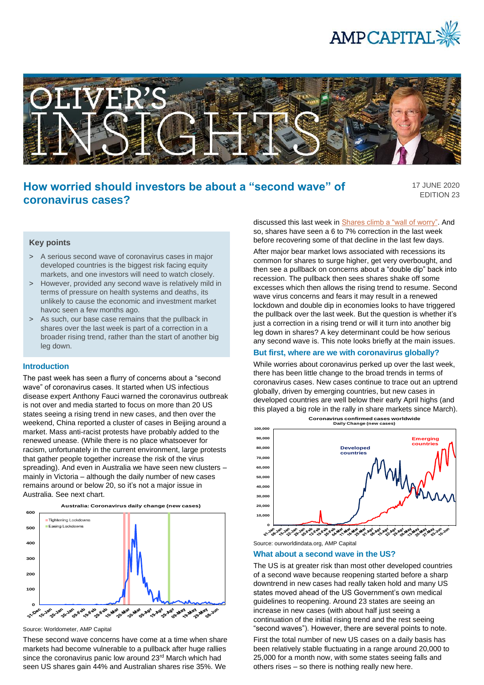



# **How worried should investors be about a "second wave" of coronavirus cases?**

17 JUNE 2020 EDITION 23

# **Key points**

- > A serious second wave of coronavirus cases in major developed countries is the biggest risk facing equity markets, and one investors will need to watch closely.
- > However, provided any second wave is relatively mild in terms of pressure on health systems and deaths, its unlikely to cause the economic and investment market havoc seen a few months ago.
- > As such, our base case remains that the pullback in shares over the last week is part of a correction in a broader rising trend, rather than the start of another big leg down.

### **Introduction**

The past week has seen a flurry of concerns about a "second wave" of coronavirus cases. It started when US infectious disease expert Anthony Fauci warned the coronavirus outbreak is not over and media started to focus on more than 20 US states seeing a rising trend in new cases, and then over the weekend, China reported a cluster of cases in Beijing around a market. Mass anti-racist protests have probably added to the renewed unease. (While there is no place whatsoever for racism, unfortunately in the current environment, large protests that gather people together increase the risk of the virus spreading). And even in Australia we have seen new clusters – mainly in Victoria – although the daily number of new cases remains around or below 20, so it's not a major issue in Australia. See next chart.



Source: Worldometer, AMP Capital

These second wave concerns have come at a time when share markets had become vulnerable to a pullback after huge rallies since the coronavirus panic low around 23<sup>rd</sup> March which had seen US shares gain 44% and Australian shares rise 35%. We

discussed this last week in **Shares climb a "wall of worry"**. And so, shares have seen a 6 to 7% correction in the last week before recovering some of that decline in the last few days.

After major bear market lows associated with recessions its common for shares to surge higher, get very overbought, and then see a pullback on concerns about a "double dip" back into recession. The pullback then sees shares shake off some excesses which then allows the rising trend to resume. Second wave virus concerns and fears it may result in a renewed lockdown and double dip in economies looks to have triggered the pullback over the last week. But the question is whether it's just a correction in a rising trend or will it turn into another big leg down in shares? A key determinant could be how serious any second wave is. This note looks briefly at the main issues.

# **But first, where are we with coronavirus globally?**

While worries about coronavirus perked up over the last week, there has been little change to the broad trends in terms of coronavirus cases. New cases continue to trace out an uptrend globally, driven by emerging countries, but new cases in developed countries are well below their early April highs (and this played a big role in the rally in share markets since March).



**Coronavirus confirmed cases worldwide Daily Change (new cases)**

Source: ourworldindata.org, AMP Capital

#### **What about a second wave in the US?**

The US is at greater risk than most other developed countries of a second wave because reopening started before a sharp downtrend in new cases had really taken hold and many US states moved ahead of the US Government's own medical guidelines to reopening. Around 23 states are seeing an increase in new cases (with about half just seeing a continuation of the initial rising trend and the rest seeing "second waves"). However, there are several points to note.

First the total number of new US cases on a daily basis has been relatively stable fluctuating in a range around 20,000 to 25,000 for a month now, with some states seeing falls and others rises – so there is nothing really new here.